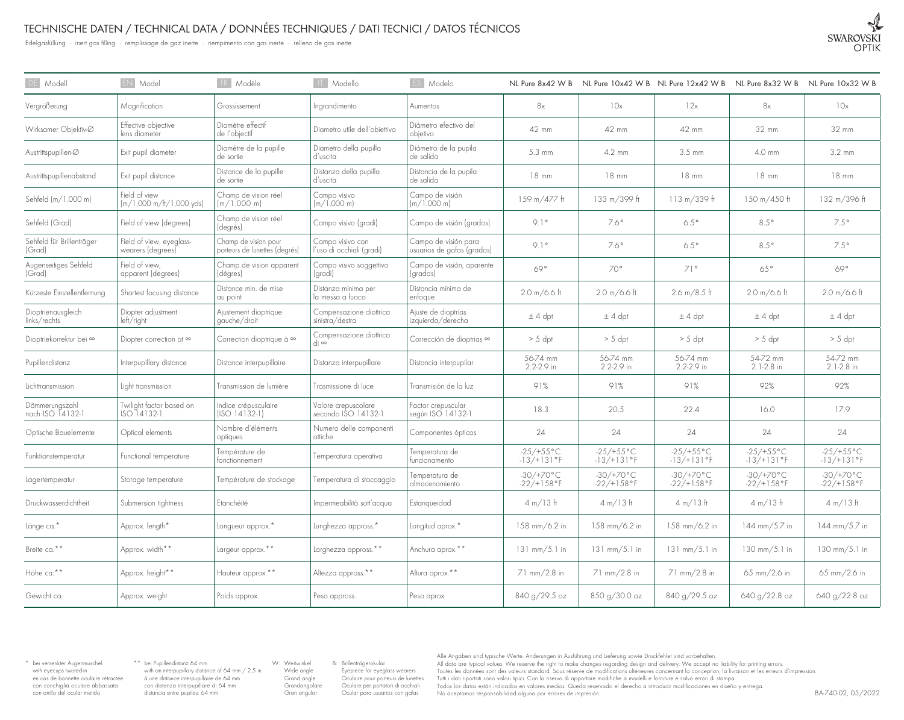## TECHNISCHE DATEN / TECHNICAL DATA / DONNÉES TECHNIQUES / DATI TECNICI / DATOS TÉCNICOS

Edelgasfüllung · inert gas filling · remplissage de gaz inerte · riempimento con gas inerte · relleno de gas inerte



| Modell                              | EN Model                                      | FR<br>Modèle                                          | Modello                                      | Modelo<br>ES                                       |                                  | NL Pure 8x42 W B NL Pure 10x42 W B NL Pure 12x42 W B NL Pure 8x32 W B NL Pure 10x32 W B |                                  |                                  |                               |
|-------------------------------------|-----------------------------------------------|-------------------------------------------------------|----------------------------------------------|----------------------------------------------------|----------------------------------|-----------------------------------------------------------------------------------------|----------------------------------|----------------------------------|-------------------------------|
| Vergrößerung                        | Magnification                                 | Grossissement                                         | Ingrandimento                                | Aumentos                                           | 8x                               | 10x                                                                                     | 12x                              | 8x                               | 10x                           |
| Wirksamer Objektiv-Ø                | Effective objective<br>lens diameter          | Diamètre effectif<br>de l'objectif                    | Diametro utile dell'obiettivo                | Diámetro efectivo del<br>objetivo                  | 42 mm                            | 42 mm                                                                                   | 42 mm                            | 32 mm                            | 32 mm                         |
| Austrittspupillen-Ø                 | Exit pupil diameter                           | Diamètre de la pupille<br>de sortie                   | Diametro della pupilla<br>d'uscita           | Diámetro de la pupila<br>de salida                 | $5.3 \text{ mm}$                 | 4.2 mm                                                                                  | $3.5 \text{ mm}$                 | 4.0 mm                           | $3.2 \text{ mm}$              |
| Austrittspupillenabstand            | Exit pupil distance                           | Distance de la pupille<br>de sortie                   | Distanza della pupilla<br>d'uscita           | Distancia de la pupila<br>de salida                | $18$ mm                          | 18 mm                                                                                   | $18$ mm                          | $18$ mm                          | $18$ mm                       |
| Sehfeld (m/1.000 m)                 | Field of view<br>(m/1,000 m/ft/1,000 yds)     | Champ de vision réel<br>(m/1.000 m)                   | Campo visivo<br>(m/1.000 m)                  | Campo de visión<br>(m/1.000 m)                     | 159 m/477 ft                     | 133 m/399 ft                                                                            | 113 m/339 ft                     | 150 m/450 ft                     | 132 m/396 ft                  |
| Sehfeld (Grad)                      | Field of view (degrees)                       | Champ de vision réel<br>(degrés)                      | Campo visivo (gradi)                         | Campo de visión (grados)                           | $9.1^\circ$                      | $7.6^\circ$                                                                             | $6.5^\circ$                      | $8.5^\circ$                      | $7.5^\circ$                   |
| Sehfeld für Brillenträger<br>(Grad) | Field of view, eyeglass-<br>wearers (degrees) | Champ de vision pour<br>porteurs de lunettes (degrés) | Campo visivo con<br>suso di occhiali (gradi) | Campo de visión para<br>usuarios de gafas (grados) | $9.1^\circ$                      | $7.6^\circ$                                                                             | $6.5^\circ$                      | $8.5^\circ$                      | $7.5^\circ$                   |
| Augenseitiges Sehfeld<br>(Grad)     | Field of view,<br>apparent (degrees)          | Champ de vision apparent<br>(dégres)                  | Campo visivo soggettivo<br>(gradi)           | Campo de visión, aparente<br>(grados)              | 69°                              | $70^{\circ}$                                                                            | 71°                              | 65°                              | 69°                           |
| Kürzeste Einstellentfernung         | Shortest focusing distance                    | Distance min. de mise<br>au point                     | Distanza minima per<br>la messa a fuoco      | Distancia mínima de<br>enfoaue                     | $2.0 \text{ m} / 6.6 \text{ ft}$ | $2.0 \text{ m} / 6.6 \text{ ft}$                                                        | $2.6 \text{ m} / 8.5 \text{ ft}$ | $2.0 \text{ m} / 6.6 \text{ ft}$ | 2.0 m/6.6 ft                  |
| Dioptrienausgleich<br>links/rechts  | Diopter adjustment<br>left/right              | Ajustement dioptrique<br>gauche/droit                 | Compensazione diottrica<br>sinistra/destra   | Ajuste de dioptrías<br>izguierda/derecha           | $±$ 4 dpt                        | $±$ 4 dpt                                                                               | $±$ 4 dpt                        | $±$ 4 dpt                        | $±$ 4 dpt                     |
| Dioptriekorrektur bei ∞             | Diopter correction at ∞                       | Correction dioptrique à ∞                             | Compensazione diottrica<br>di ∞              | Corrección de dioptrias ∞                          | $> 5$ dpt                        | $> 5$ dpt                                                                               | $> 5$ dpt                        | $> 5$ dpt                        | $> 5$ dpt                     |
| Pupillendistanz                     | Interpupillary distance                       | Distance interpupillaire                              | Distanza interpupillare                      | Distancia interpupilar                             | 56-74 mm<br>2.2-2.9 in           | 56-74 mm<br>2.2-2.9 in                                                                  | 56-74 mm<br>2.2-2.9 in           | 54-72 mm<br>2.1-2.8 in           | 54-72 mm<br>2.1-2.8 in        |
| Lichttransmission                   | Light transmission                            | Transmission de lumière                               | Trasmissione di luce                         | Transmisión de la luz                              | 91%                              | 91%                                                                                     | 91%                              | 92%                              | 92%                           |
| Dämmerungszahl<br>nach ISO 14132-1  | Twilight factor based on<br>ISO 14132-1       | Indice crépusculaire<br>$(ISO 14132-1)$               | Valore crepuscolare<br>secondo ISO 14132-1   | Factor crepuscular<br>según ISO 14132-1            | 18.3                             | 20.5                                                                                    | 22.4                             | 16.0                             | 17.9                          |
| Optische Bauelemente                | Optical elements                              | Nombre d'éléments<br>optiques                         | Numero delle componenti<br>ottiche           | Componentes ópticos                                | 24                               | 24                                                                                      | 24                               | 24                               | 24                            |
| Funktionstemperatur                 | Functional temperature                        | Température de<br>fonctionnement                      | Temperatura operativa                        | Temperatura de<br>funcionamento                    | $-25/+55$ °C<br>$-13/+131$ °F    | $-25/+55°C$<br>$-13/+131$ °F                                                            | $-25/+55°C$<br>$-13/+131$ °F     | $-25/+55$ °C<br>$-13/+131$ °F    | $-25/+55$ °C<br>$-13/+131$ °F |
| Lagertemperatur                     | Storage temperature                           | Température de stockage                               | Temperatura di stoccaggio                    | Temperatura de<br>almacenamiento                   | $-30/+70°C$<br>$-22/+158$ °F     | $-30/+70°C$<br>$-22/+158°F$                                                             | -30/+70°C<br>$-22/$ +158°F       | $-30/+70°C$<br>$-22/+158$ °F     | $-30/+70°C$<br>$-22/+158$ °F  |
| Druckwasserdichtheit                | Submersion tightness                          | Etanchéité                                            | Impermeabilità sott'acqua                    | Estangueidad                                       | 4 m/13 ft                        | 4 m/13 ft                                                                               | 4 m/13 ft                        | 4 m/13 ft                        | 4 m/13 ft                     |
| länge ca.*                          | Approx. length*                               | Longueur approx.*                                     | lunghezza appross.*                          | Longitud aprox.*                                   | 158 mm/6.2 in                    | 158 mm/6.2 in                                                                           | $158$ mm/6.2 in                  | 144 mm/5.7 in                    | 144 mm/5.7 in                 |
| Breite ca.**                        | Approx. width**                               | Largeur approx.**                                     | Larghezza appross.**                         | Anchura aprox.**                                   | $131 \text{ mm}/5.1$ in          | $131 \text{ mm}/5.1$ in                                                                 | $131 \text{ mm}/5.1$ in          | 130 mm/5.1 in                    | 130 mm/5.1 in                 |
| Höhe ca.**                          | Approx. height**                              | Hauteur approx.**                                     | Altezza appross.**                           | Altura aprox.**                                    | $71 \text{ mm}/2.8$ in           | $71 \text{ mm}/2.8$ in                                                                  | $71 \text{ mm}/2.8$ in           | 65 mm/2.6 in                     | 65 mm/2.6 in                  |
| Gewicht ca.                         | Approx. weight                                | Poids approx.                                         | Peso appross.                                | Peso aprox.                                        | 840 g/29.5 oz                    | 850 g/30.0 oz                                                                           | 840 g/29.5 oz                    | 640 g/22.8 oz                    | 640 g/22.8 oz                 |

\* bei versenkter Augenmuschel with eyecups twisted-in en cas de bonnette oculaire rétractée con conchiglia oculare abbassata con anillo del ocular metido

\*\* bei Pupillendistanz 64 mm with an interpupillary distance of 64 mm / 2.5 in à une distance interpupillaire de 64 mm con distanza interpupillare di 64 mm distancia entre pupilas: 64 mm

B: Brillenträgerokular Eyepiece for eyeglass wearers Oculaire pour porteurs de lunettes Oculare per portatori di occhiali Ocular para usuarios con gafas

W: Weitwinkel Wide angle Grand angle Grandangolare Gran angular

Alle Angaben sind typische Werte. Änderungen in Ausführung und Lieferung sowie Druckfehler sind vorbehalten.<br>All data are typical values. We reserve the right to make changes regarding design and delivery. We accept no lab

Tutti i dati riportati sono valori tipici. Con la riserva di apportare modifiche a modelli e forniture e salvo errori di stampa.

Todos los datos están indicados en valores medios. Queda reservado el derecho a introducir modificaciones en diseño y entrega.

No aceptamos responsabilidad alguna por errores de impresión.